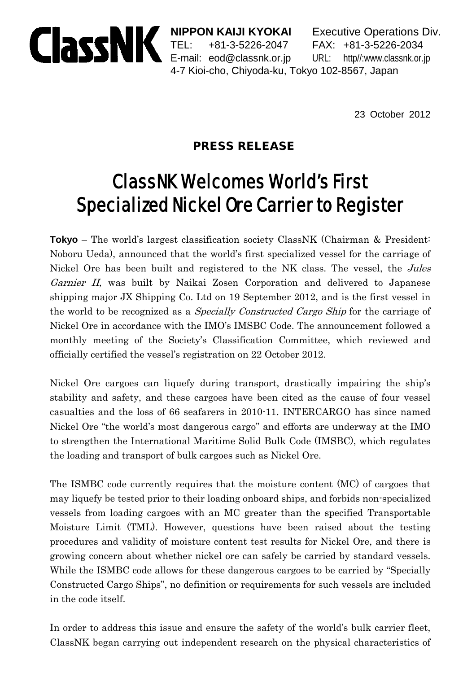

**NIPPON KAIJI KYOKAI** Executive Operations Div. TEL: +81-3-5226-2047 FAX: +81-3-5226-2034 E-mail: eod@classnk.or.jp URL: http//:www.classnk.or.jp 4-7 Kioi-cho, Chiyoda-ku, Tokyo 102-8567, Japan

23 October 2012

## PRESS RELEASE

## ClassNK Welcomes World's First Specialized Nickel Ore Carrier to Register

**Tokyo** – The world's largest classification society ClassNK (Chairman & President: Noboru Ueda), announced that the world's first specialized vessel for the carriage of Nickel Ore has been built and registered to the NK class. The vessel, the *Jules* Garnier II, was built by Naikai Zosen Corporation and delivered to Japanese shipping major JX Shipping Co. Ltd on 19 September 2012, and is the first vessel in the world to be recognized as a Specially Constructed Cargo Ship for the carriage of Nickel Ore in accordance with the IMO's IMSBC Code. The announcement followed a monthly meeting of the Society's Classification Committee, which reviewed and officially certified the vessel's registration on 22 October 2012.

Nickel Ore cargoes can liquefy during transport, drastically impairing the ship's stability and safety, and these cargoes have been cited as the cause of four vessel casualties and the loss of 66 seafarers in 2010-11. INTERCARGO has since named Nickel Ore "the world's most dangerous cargo" and efforts are underway at the IMO to strengthen the International Maritime Solid Bulk Code (IMSBC), which regulates the loading and transport of bulk cargoes such as Nickel Ore.

The ISMBC code currently requires that the moisture content (MC) of cargoes that may liquefy be tested prior to their loading onboard ships, and forbids non-specialized vessels from loading cargoes with an MC greater than the specified Transportable Moisture Limit (TML). However, questions have been raised about the testing procedures and validity of moisture content test results for Nickel Ore, and there is growing concern about whether nickel ore can safely be carried by standard vessels. While the ISMBC code allows for these dangerous cargoes to be carried by "Specially Constructed Cargo Ships", no definition or requirements for such vessels are included in the code itself.

In order to address this issue and ensure the safety of the world's bulk carrier fleet, ClassNK began carrying out independent research on the physical characteristics of